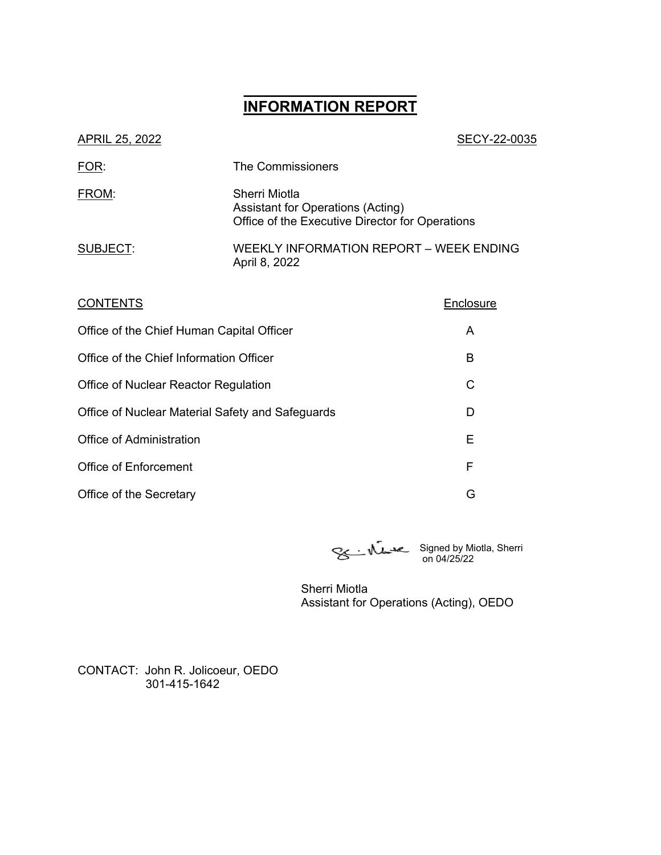# **\_\_\_\_\_\_\_\_\_\_\_\_\_\_\_\_\_\_ INFORMATION REPORT**

| APRIL 25, 2022 | SECY-22-0035                                                                                          |
|----------------|-------------------------------------------------------------------------------------------------------|
| FOR:           | The Commissioners                                                                                     |
| FROM:          | Sherri Miotla<br>Assistant for Operations (Acting)<br>Office of the Executive Director for Operations |
| SUBJECT:       | WEEKLY INFORMATION REPORT - WEEK ENDING<br>April 8, 2022                                              |
|                |                                                                                                       |

| <b>CONTENTS</b>                                  | Enclosure |
|--------------------------------------------------|-----------|
| Office of the Chief Human Capital Officer        | A         |
| Office of the Chief Information Officer          | В         |
| Office of Nuclear Reactor Regulation             | C         |
| Office of Nuclear Material Safety and Safeguards | D         |
| Office of Administration                         | Е         |
| <b>Office of Enforcement</b>                     | F         |
| Office of the Secretary                          | G         |

Signed by Miotla, Sherri on 04/25/22

Sherri Miotla Assistant for Operations (Acting), OEDO

CONTACT: John R. Jolicoeur, OEDO 301-415-1642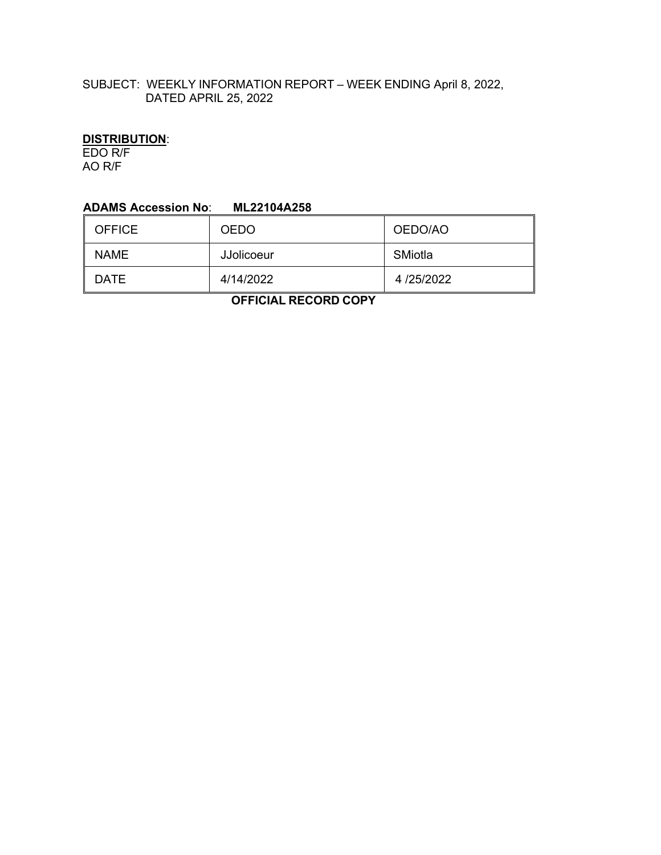# SUBJECT: WEEKLY INFORMATION REPORT – WEEK ENDING April 8, 2022, DATED APRIL 25, 2022

# **DISTRIBUTION**:

EDO R/F AO R/F

#### **ADAMS Accession No**: **ML22104A258**

| <b>OFFICE</b> | <b>OEDO</b>       | OEDO/AO   |
|---------------|-------------------|-----------|
| <b>NAME</b>   | <b>JJolicoeur</b> | SMiotla   |
| DATE          | 4/14/2022         | 4/25/2022 |

 **OFFICIAL RECORD COPY**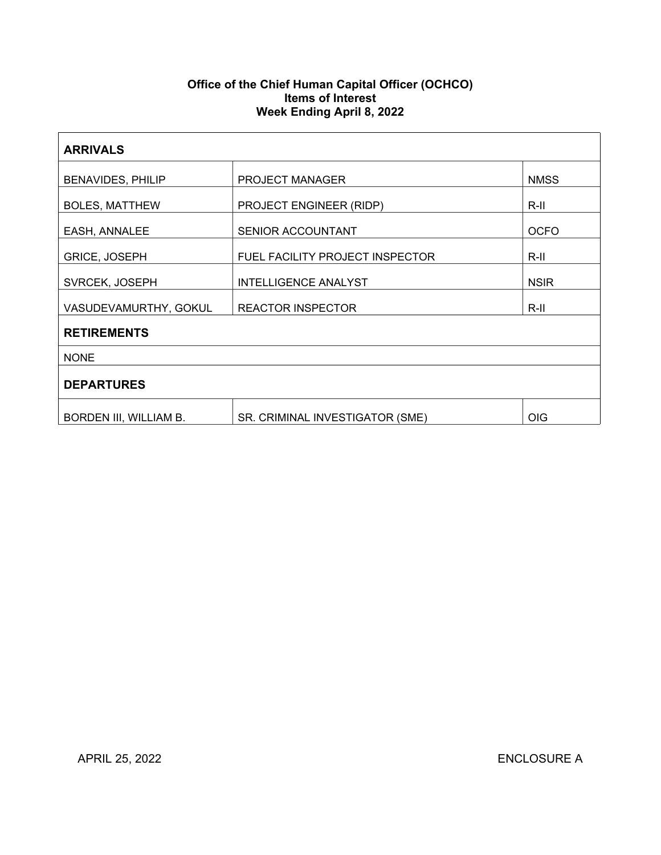### **Office of the Chief Human Capital Officer (OCHCO) Items of Interest Week Ending April 8, 2022**

| <b>ARRIVALS</b>          |                                 |             |  |  |
|--------------------------|---------------------------------|-------------|--|--|
| <b>BENAVIDES, PHILIP</b> | <b>PROJECT MANAGER</b>          | <b>NMSS</b> |  |  |
| <b>BOLES, MATTHEW</b>    | PROJECT ENGINEER (RIDP)         | R-II        |  |  |
| EASH, ANNALEE            | SENIOR ACCOUNTANT               | <b>OCFO</b> |  |  |
| <b>GRICE, JOSEPH</b>     | FUEL FACILITY PROJECT INSPECTOR | R-II        |  |  |
| SVRCEK, JOSEPH           | <b>INTELLIGENCE ANALYST</b>     | <b>NSIR</b> |  |  |
| VASUDEVAMURTHY, GOKUL    | <b>REACTOR INSPECTOR</b>        | R-II        |  |  |
| <b>RETIREMENTS</b>       |                                 |             |  |  |
| <b>NONE</b>              |                                 |             |  |  |
| <b>DEPARTURES</b>        |                                 |             |  |  |
| BORDEN III, WILLIAM B.   | SR. CRIMINAL INVESTIGATOR (SME) | <b>OIG</b>  |  |  |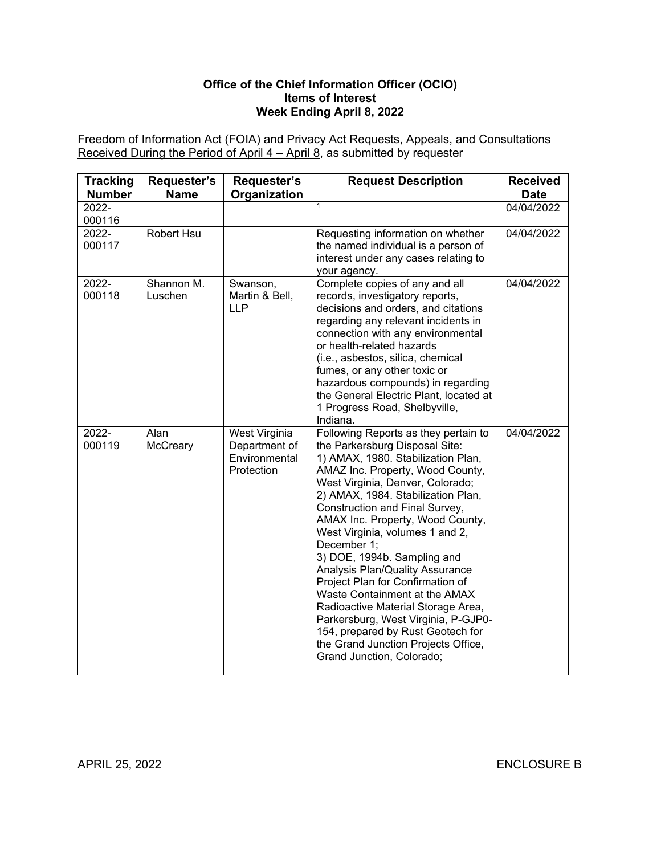### **Office of the Chief Information Officer (OCIO) Items of Interest Week Ending April 8, 2022**

Freedom of Information Act (FOIA) and Privacy Act Requests, Appeals, and Consultations Received During the Period of April 4 – April 8, as submitted by requester

| <b>Tracking</b><br><b>Number</b> | Requester's<br><b>Name</b> | Requester's<br>Organization                                   | <b>Request Description</b>                                                                                                                                                                                                                                                                                                                                                                                                                                                                                                                                                                                                                                                      | <b>Received</b><br><b>Date</b> |
|----------------------------------|----------------------------|---------------------------------------------------------------|---------------------------------------------------------------------------------------------------------------------------------------------------------------------------------------------------------------------------------------------------------------------------------------------------------------------------------------------------------------------------------------------------------------------------------------------------------------------------------------------------------------------------------------------------------------------------------------------------------------------------------------------------------------------------------|--------------------------------|
| 2022-<br>000116                  |                            |                                                               | $\overline{1}$                                                                                                                                                                                                                                                                                                                                                                                                                                                                                                                                                                                                                                                                  | 04/04/2022                     |
| 2022-<br>000117                  | Robert Hsu                 |                                                               | Requesting information on whether<br>the named individual is a person of<br>interest under any cases relating to<br>your agency.                                                                                                                                                                                                                                                                                                                                                                                                                                                                                                                                                | 04/04/2022                     |
| 2022-<br>000118                  | Shannon M.<br>Luschen      | Swanson,<br>Martin & Bell,<br><b>LLP</b>                      | Complete copies of any and all<br>records, investigatory reports,<br>decisions and orders, and citations<br>regarding any relevant incidents in<br>connection with any environmental<br>or health-related hazards<br>(i.e., asbestos, silica, chemical<br>fumes, or any other toxic or<br>hazardous compounds) in regarding<br>the General Electric Plant, located at<br>1 Progress Road, Shelbyville,<br>Indiana.                                                                                                                                                                                                                                                              | 04/04/2022                     |
| 2022-<br>000119                  | Alan<br>McCreary           | West Virginia<br>Department of<br>Environmental<br>Protection | Following Reports as they pertain to<br>the Parkersburg Disposal Site:<br>1) AMAX, 1980. Stabilization Plan,<br>AMAZ Inc. Property, Wood County,<br>West Virginia, Denver, Colorado;<br>2) AMAX, 1984. Stabilization Plan,<br>Construction and Final Survey,<br>AMAX Inc. Property, Wood County,<br>West Virginia, volumes 1 and 2,<br>December 1;<br>3) DOE, 1994b. Sampling and<br>Analysis Plan/Quality Assurance<br>Project Plan for Confirmation of<br>Waste Containment at the AMAX<br>Radioactive Material Storage Area,<br>Parkersburg, West Virginia, P-GJP0-<br>154, prepared by Rust Geotech for<br>the Grand Junction Projects Office,<br>Grand Junction, Colorado; | 04/04/2022                     |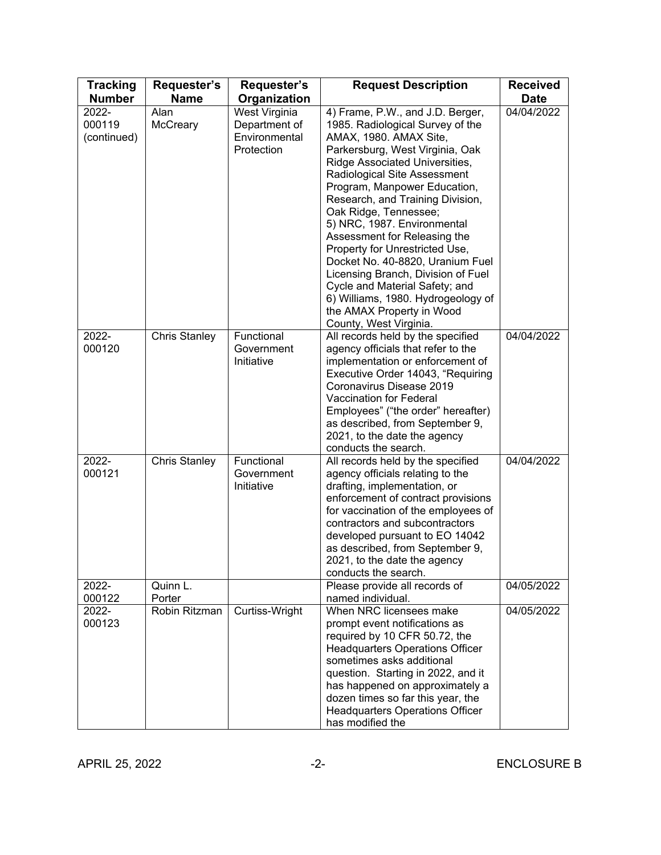| <b>Tracking</b><br><b>Number</b> | <b>Requester's</b><br><b>Name</b> | Requester's<br>Organization                                   | <b>Request Description</b>                                                                                                                                                                                                                                                                                                                                                                                                                                                                                                                                                                                 | <b>Received</b><br><b>Date</b> |
|----------------------------------|-----------------------------------|---------------------------------------------------------------|------------------------------------------------------------------------------------------------------------------------------------------------------------------------------------------------------------------------------------------------------------------------------------------------------------------------------------------------------------------------------------------------------------------------------------------------------------------------------------------------------------------------------------------------------------------------------------------------------------|--------------------------------|
| 2022-<br>000119<br>(continued)   | Alan<br>McCreary                  | West Virginia<br>Department of<br>Environmental<br>Protection | 4) Frame, P.W., and J.D. Berger,<br>1985. Radiological Survey of the<br>AMAX, 1980. AMAX Site,<br>Parkersburg, West Virginia, Oak<br>Ridge Associated Universities,<br>Radiological Site Assessment<br>Program, Manpower Education,<br>Research, and Training Division,<br>Oak Ridge, Tennessee;<br>5) NRC, 1987. Environmental<br>Assessment for Releasing the<br>Property for Unrestricted Use,<br>Docket No. 40-8820, Uranium Fuel<br>Licensing Branch, Division of Fuel<br>Cycle and Material Safety; and<br>6) Williams, 1980. Hydrogeology of<br>the AMAX Property in Wood<br>County, West Virginia. | 04/04/2022                     |
| 2022-<br>000120                  | <b>Chris Stanley</b>              | Functional<br>Government<br>Initiative                        | All records held by the specified<br>agency officials that refer to the<br>implementation or enforcement of<br>Executive Order 14043, "Requiring<br>Coronavirus Disease 2019<br><b>Vaccination for Federal</b><br>Employees" ("the order" hereafter)<br>as described, from September 9,<br>2021, to the date the agency<br>conducts the search.                                                                                                                                                                                                                                                            | 04/04/2022                     |
| 2022-<br>000121                  | <b>Chris Stanley</b>              | Functional<br>Government<br>Initiative                        | All records held by the specified<br>agency officials relating to the<br>drafting, implementation, or<br>enforcement of contract provisions<br>for vaccination of the employees of<br>contractors and subcontractors<br>developed pursuant to EO 14042<br>as described, from September 9,<br>2021, to the date the agency<br>conducts the search.                                                                                                                                                                                                                                                          | 04/04/2022                     |
| 2022-<br>000122                  | Quinn L.<br>Porter                |                                                               | Please provide all records of<br>named individual.                                                                                                                                                                                                                                                                                                                                                                                                                                                                                                                                                         | 04/05/2022                     |
| 2022-<br>000123                  | Robin Ritzman                     | Curtiss-Wright                                                | When NRC licensees make<br>prompt event notifications as<br>required by 10 CFR 50.72, the<br><b>Headquarters Operations Officer</b><br>sometimes asks additional<br>question. Starting in 2022, and it<br>has happened on approximately a<br>dozen times so far this year, the<br><b>Headquarters Operations Officer</b><br>has modified the                                                                                                                                                                                                                                                               | 04/05/2022                     |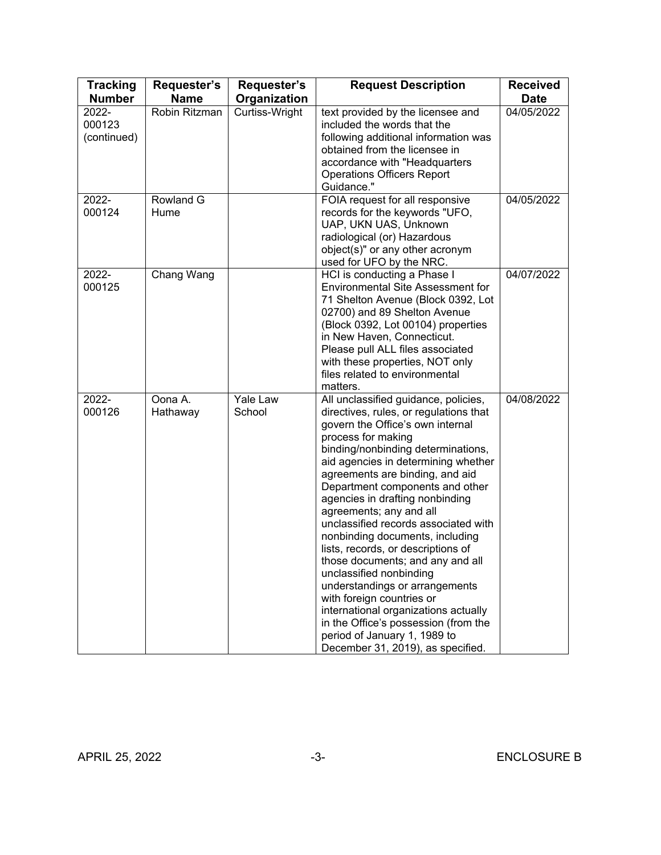| <b>Tracking</b>                | Requester's         | Requester's        | <b>Request Description</b>                                                                                                                                                                                                                                                                                                                                                                                                                                                                                                                                                                                                                                                                                                                                    | <b>Received</b> |
|--------------------------------|---------------------|--------------------|---------------------------------------------------------------------------------------------------------------------------------------------------------------------------------------------------------------------------------------------------------------------------------------------------------------------------------------------------------------------------------------------------------------------------------------------------------------------------------------------------------------------------------------------------------------------------------------------------------------------------------------------------------------------------------------------------------------------------------------------------------------|-----------------|
| <b>Number</b>                  | <b>Name</b>         | Organization       |                                                                                                                                                                                                                                                                                                                                                                                                                                                                                                                                                                                                                                                                                                                                                               | <b>Date</b>     |
| 2022-<br>000123<br>(continued) | Robin Ritzman       | Curtiss-Wright     | text provided by the licensee and<br>included the words that the<br>following additional information was<br>obtained from the licensee in<br>accordance with "Headquarters<br><b>Operations Officers Report</b><br>Guidance."                                                                                                                                                                                                                                                                                                                                                                                                                                                                                                                                 | 04/05/2022      |
| 2022-<br>000124                | Rowland G<br>Hume   |                    | FOIA request for all responsive<br>records for the keywords "UFO,<br>UAP, UKN UAS, Unknown<br>radiological (or) Hazardous<br>object(s)" or any other acronym<br>used for UFO by the NRC.                                                                                                                                                                                                                                                                                                                                                                                                                                                                                                                                                                      | 04/05/2022      |
| 2022-<br>000125                | Chang Wang          |                    | HCI is conducting a Phase I<br><b>Environmental Site Assessment for</b><br>71 Shelton Avenue (Block 0392, Lot<br>02700) and 89 Shelton Avenue<br>(Block 0392, Lot 00104) properties<br>in New Haven, Connecticut.<br>Please pull ALL files associated<br>with these properties, NOT only<br>files related to environmental<br>matters.                                                                                                                                                                                                                                                                                                                                                                                                                        | 04/07/2022      |
| 2022-<br>000126                | Oona A.<br>Hathaway | Yale Law<br>School | All unclassified guidance, policies,<br>directives, rules, or regulations that<br>govern the Office's own internal<br>process for making<br>binding/nonbinding determinations,<br>aid agencies in determining whether<br>agreements are binding, and aid<br>Department components and other<br>agencies in drafting nonbinding<br>agreements; any and all<br>unclassified records associated with<br>nonbinding documents, including<br>lists, records, or descriptions of<br>those documents; and any and all<br>unclassified nonbinding<br>understandings or arrangements<br>with foreign countries or<br>international organizations actually<br>in the Office's possession (from the<br>period of January 1, 1989 to<br>December 31, 2019), as specified. | 04/08/2022      |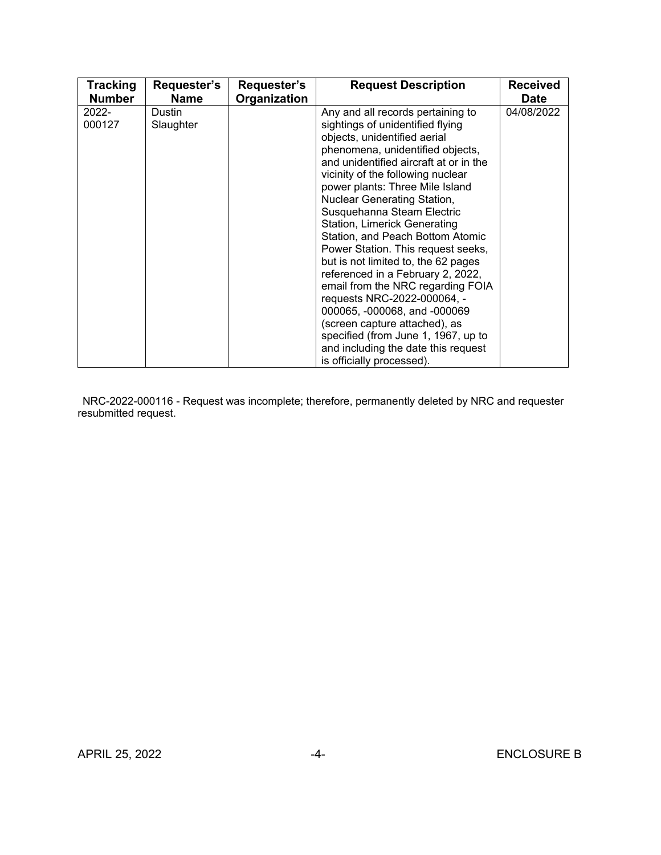| <b>Tracking</b>    | Requester's         | Requester's  | <b>Request Description</b>                                                                                                                                                                                                                                                                                                                                                                                                                                                                                                                                                                                                                                                                                                                                     | <b>Received</b> |
|--------------------|---------------------|--------------|----------------------------------------------------------------------------------------------------------------------------------------------------------------------------------------------------------------------------------------------------------------------------------------------------------------------------------------------------------------------------------------------------------------------------------------------------------------------------------------------------------------------------------------------------------------------------------------------------------------------------------------------------------------------------------------------------------------------------------------------------------------|-----------------|
| <b>Number</b>      | <b>Name</b>         | Organization |                                                                                                                                                                                                                                                                                                                                                                                                                                                                                                                                                                                                                                                                                                                                                                | <b>Date</b>     |
| $2022 -$<br>000127 | Dustin<br>Slaughter |              | Any and all records pertaining to<br>sightings of unidentified flying<br>objects, unidentified aerial<br>phenomena, unidentified objects,<br>and unidentified aircraft at or in the<br>vicinity of the following nuclear<br>power plants: Three Mile Island<br>Nuclear Generating Station,<br>Susquehanna Steam Electric<br>Station, Limerick Generating<br>Station, and Peach Bottom Atomic<br>Power Station. This request seeks,<br>but is not limited to, the 62 pages<br>referenced in a February 2, 2022,<br>email from the NRC regarding FOIA<br>requests NRC-2022-000064, -<br>000065, -000068, and -000069<br>(screen capture attached), as<br>specified (from June 1, 1967, up to<br>and including the date this request<br>is officially processed). | 04/08/2022      |

 NRC-2022-000116 - Request was incomplete; therefore, permanently deleted by NRC and requester resubmitted request.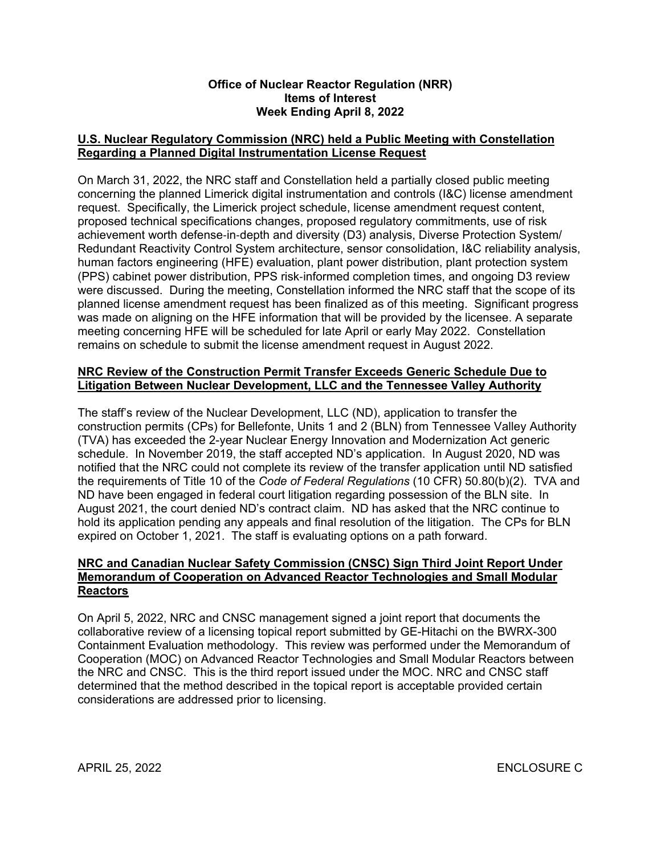#### **Office of Nuclear Reactor Regulation (NRR) Items of Interest Week Ending April 8, 2022**

## **U.S. Nuclear Regulatory Commission (NRC) held a Public Meeting with Constellation Regarding a Planned Digital Instrumentation License Request**

On March 31, 2022, the NRC staff and Constellation held a partially closed public meeting concerning the planned Limerick digital instrumentation and controls (I&C) license amendment request. Specifically, the Limerick project schedule, license amendment request content, proposed technical specifications changes, proposed regulatory commitments, use of risk achievement worth defense‐in‐depth and diversity (D3) analysis, Diverse Protection System/ Redundant Reactivity Control System architecture, sensor consolidation, I&C reliability analysis, human factors engineering (HFE) evaluation, plant power distribution, plant protection system (PPS) cabinet power distribution, PPS risk‐informed completion times, and ongoing D3 review were discussed. During the meeting, Constellation informed the NRC staff that the scope of its planned license amendment request has been finalized as of this meeting. Significant progress was made on aligning on the HFE information that will be provided by the licensee. A separate meeting concerning HFE will be scheduled for late April or early May 2022. Constellation remains on schedule to submit the license amendment request in August 2022.

## **NRC Review of the Construction Permit Transfer Exceeds Generic Schedule Due to Litigation Between Nuclear Development, LLC and the Tennessee Valley Authority**

The staff's review of the Nuclear Development, LLC (ND), application to transfer the construction permits (CPs) for Bellefonte, Units 1 and 2 (BLN) from Tennessee Valley Authority (TVA) has exceeded the 2-year Nuclear Energy Innovation and Modernization Act generic schedule. In November 2019, the staff accepted ND's application. In August 2020, ND was notified that the NRC could not complete its review of the transfer application until ND satisfied the requirements of Title 10 of the *Code of Federal Regulations* (10 CFR) 50.80(b)(2). TVA and ND have been engaged in federal court litigation regarding possession of the BLN site. In August 2021, the court denied ND's contract claim. ND has asked that the NRC continue to hold its application pending any appeals and final resolution of the litigation. The CPs for BLN expired on October 1, 2021. The staff is evaluating options on a path forward.

### **NRC and Canadian Nuclear Safety Commission (CNSC) Sign Third Joint Report Under Memorandum of Cooperation on Advanced Reactor Technologies and Small Modular Reactors**

On April 5, 2022, NRC and CNSC management signed a joint report that documents the collaborative review of a licensing topical report submitted by GE-Hitachi on the BWRX-300 Containment Evaluation methodology. This review was performed under the Memorandum of Cooperation (MOC) on Advanced Reactor Technologies and Small Modular Reactors between the NRC and CNSC. This is the third report issued under the MOC. NRC and CNSC staff determined that the method described in the topical report is acceptable provided certain considerations are addressed prior to licensing.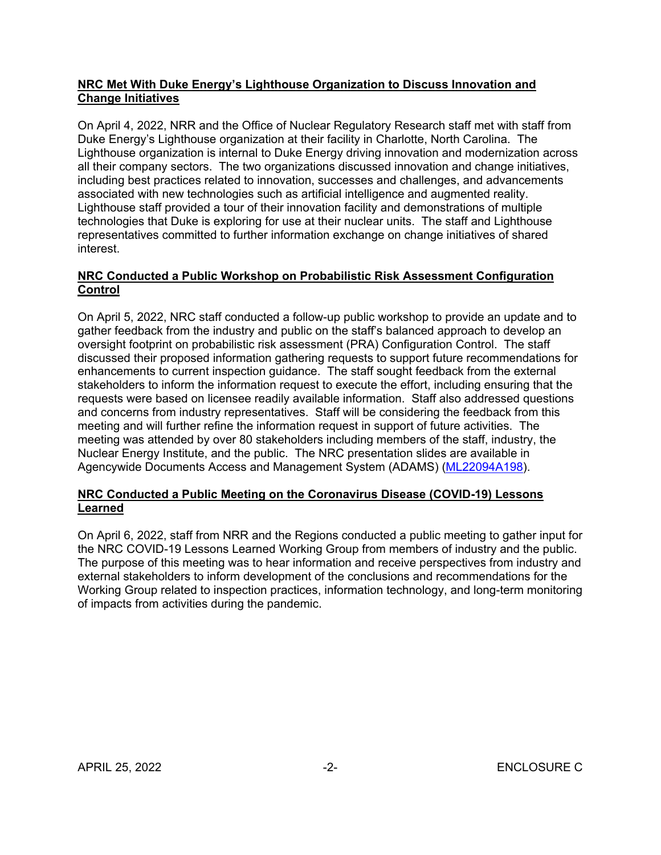## **NRC Met With Duke Energy's Lighthouse Organization to Discuss Innovation and Change Initiatives**

On April 4, 2022, NRR and the Office of Nuclear Regulatory Research staff met with staff from Duke Energy's Lighthouse organization at their facility in Charlotte, North Carolina. The Lighthouse organization is internal to Duke Energy driving innovation and modernization across all their company sectors. The two organizations discussed innovation and change initiatives, including best practices related to innovation, successes and challenges, and advancements associated with new technologies such as artificial intelligence and augmented reality. Lighthouse staff provided a tour of their innovation facility and demonstrations of multiple technologies that Duke is exploring for use at their nuclear units. The staff and Lighthouse representatives committed to further information exchange on change initiatives of shared interest.

# **NRC Conducted a Public Workshop on Probabilistic Risk Assessment Configuration Control**

On April 5, 2022, NRC staff conducted a follow-up public workshop to provide an update and to gather feedback from the industry and public on the staff's balanced approach to develop an oversight footprint on probabilistic risk assessment (PRA) Configuration Control. The staff discussed their proposed information gathering requests to support future recommendations for enhancements to current inspection guidance. The staff sought feedback from the external stakeholders to inform the information request to execute the effort, including ensuring that the requests were based on licensee readily available information. Staff also addressed questions and concerns from industry representatives. Staff will be considering the feedback from this meeting and will further refine the information request in support of future activities. The meeting was attended by over 80 stakeholders including members of the staff, industry, the Nuclear Energy Institute, and the public. The NRC presentation slides are available in Agencywide Documents Access and Management System (ADAMS) [\(ML22094A198\)](https://adamsxt.nrc.gov/navigator/AdamsXT/content/downloadContent.faces?objectStoreName=MainLibrary&ForceBrowserDownloadMgrPrompt=false&vsId=%7b2EEFC92F-9B58-C6E0-843E-7FF639A00000%7d).

# **NRC Conducted a Public Meeting on the Coronavirus Disease (COVID-19) Lessons Learned**

On April 6, 2022, staff from NRR and the Regions conducted a public meeting to gather input for the NRC COVID-19 Lessons Learned Working Group from members of industry and the public. The purpose of this meeting was to hear information and receive perspectives from industry and external stakeholders to inform development of the conclusions and recommendations for the Working Group related to inspection practices, information technology, and long-term monitoring of impacts from activities during the pandemic.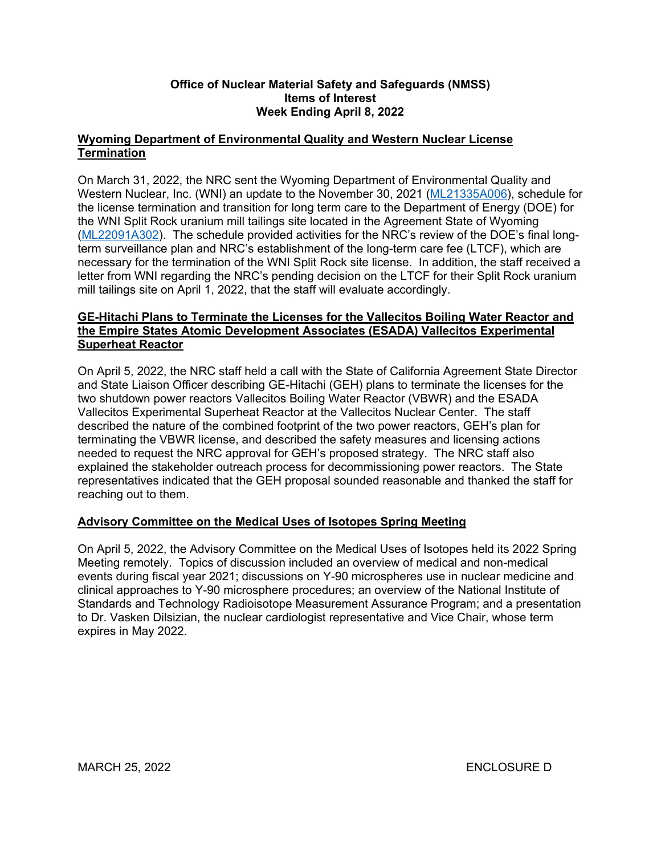## **Office of Nuclear Material Safety and Safeguards (NMSS) Items of Interest Week Ending April 8, 2022**

## **Wyoming Department of Environmental Quality and Western Nuclear License Termination**

On March 31, 2022, the NRC sent the Wyoming Department of Environmental Quality and Western Nuclear, Inc. (WNI) an update to the November 30, 2021 [\(ML21335A006](https://adamsxt.nrc.gov/navigator/AdamsXT/packagecontent/packageContent.faces?id=%7bF1C35B65-A4D3-C076-854F-7D75D3700000%7d&objectStoreName=MainLibrary&wId=1649085265977)), schedule for the license termination and transition for long term care to the Department of Energy (DOE) for the WNI Split Rock uranium mill tailings site located in the Agreement State of Wyoming ([ML22091A302](https://adamsxt.nrc.gov/navigator/AdamsXT/packagecontent/packageContent.faces?id=%7b66B15F2E-53B3-C969-87FA-7FE6D8100000%7d&objectStoreName=MainLibrary&wId=1649085294088)). The schedule provided activities for the NRC's review of the DOE's final longterm surveillance plan and NRC's establishment of the long-term care fee (LTCF), which are necessary for the termination of the WNI Split Rock site license. In addition, the staff received a letter from WNI regarding the NRC's pending decision on the LTCF for their Split Rock uranium mill tailings site on April 1, 2022, that the staff will evaluate accordingly.

## **GE-Hitachi Plans to Terminate the Licenses for the Vallecitos Boiling Water Reactor and the Empire States Atomic Development Associates (ESADA) Vallecitos Experimental Superheat Reactor**

On April 5, 2022, the NRC staff held a call with the State of California Agreement State Director and State Liaison Officer describing GE-Hitachi (GEH) plans to terminate the licenses for the two shutdown power reactors Vallecitos Boiling Water Reactor (VBWR) and the ESADA Vallecitos Experimental Superheat Reactor at the Vallecitos Nuclear Center. The staff described the nature of the combined footprint of the two power reactors, GEH's plan for terminating the VBWR license, and described the safety measures and licensing actions needed to request the NRC approval for GEH's proposed strategy. The NRC staff also explained the stakeholder outreach process for decommissioning power reactors. The State representatives indicated that the GEH proposal sounded reasonable and thanked the staff for reaching out to them.

# **Advisory Committee on the Medical Uses of Isotopes Spring Meeting**

On April 5, 2022, the Advisory Committee on the Medical Uses of Isotopes held its 2022 Spring Meeting remotely. Topics of discussion included an overview of medical and non-medical events during fiscal year 2021; discussions on Y-90 microspheres use in nuclear medicine and clinical approaches to Y-90 microsphere procedures; an overview of the National Institute of Standards and Technology Radioisotope Measurement Assurance Program; and a presentation to Dr. Vasken Dilsizian, the nuclear cardiologist representative and Vice Chair, whose term expires in May 2022.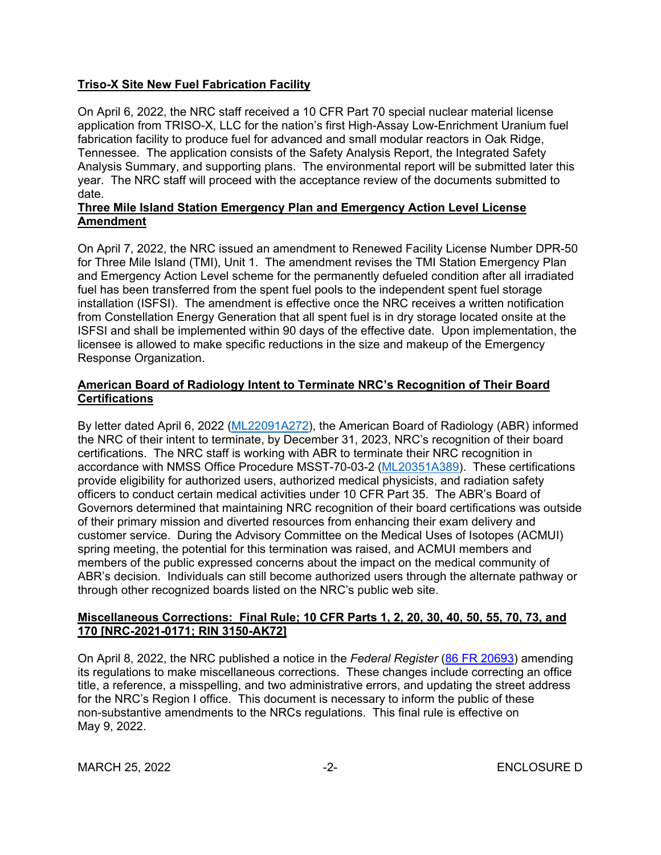## **Triso-X Site New Fuel Fabrication Facility**

On April 6, 2022, the NRC staff received a 10 CFR Part 70 special nuclear material license application from TRISO-X, LLC for the nation's first High-Assay Low-Enrichment Uranium fuel fabrication facility to produce fuel for advanced and small modular reactors in Oak Ridge, Tennessee. The application consists of the Safety Analysis Report, the Integrated Safety Analysis Summary, and supporting plans. The environmental report will be submitted later this year. The NRC staff will proceed with the acceptance review of the documents submitted to date.

### **Three Mile Island Station Emergency Plan and Emergency Action Level License Amendment**

On April 7, 2022, the NRC issued an amendment to Renewed Facility License Number DPR-50 for Three Mile Island (TMI), Unit 1. The amendment revises the TMI Station Emergency Plan and Emergency Action Level scheme for the permanently defueled condition after all irradiated fuel has been transferred from the spent fuel pools to the independent spent fuel storage installation (ISFSI). The amendment is effective once the NRC receives a written notification from Constellation Energy Generation that all spent fuel is in dry storage located onsite at the ISFSI and shall be implemented within 90 days of the effective date. Upon implementation, the licensee is allowed to make specific reductions in the size and makeup of the Emergency Response Organization.

## **American Board of Radiology Intent to Terminate NRC's Recognition of Their Board Certifications**

By letter dated April 6, 2022 [\(ML22091A272](https://adamsxt.nrc.gov/navigator/AdamsXT/content/downloadContent.faces?objectStoreName=MainLibrary&ForceBrowserDownloadMgrPrompt=false&vsId=%7bEEB2CC30-79A1-CB58-8C61-7FE68CE00000%7d)), the American Board of Radiology (ABR) informed the NRC of their intent to terminate, by December 31, 2023, NRC's recognition of their board certifications. The NRC staff is working with ABR to terminate their NRC recognition in accordance with NMSS Office Procedure MSST-70-03-2 ([ML20351A389](https://adamsxt.nrc.gov/navigator/AdamsXT/content/downloadContent.faces?objectStoreName=MainLibrary&ForceBrowserDownloadMgrPrompt=false&vsId=%7b20AA4C70-4B60-C7C3-867F-766CFA300000%7d)). These certifications provide eligibility for authorized users, authorized medical physicists, and radiation safety officers to conduct certain medical activities under 10 CFR Part 35. The ABR's Board of Governors determined that maintaining NRC recognition of their board certifications was outside of their primary mission and diverted resources from enhancing their exam delivery and customer service. During the Advisory Committee on the Medical Uses of Isotopes (ACMUI) spring meeting, the potential for this termination was raised, and ACMUI members and members of the public expressed concerns about the impact on the medical community of ABR's decision. Individuals can still become authorized users through the alternate pathway or through other recognized boards listed on the NRC's public web site.

## **Miscellaneous Corrections: Final Rule; 10 CFR Parts 1, 2, 20, 30, 40, 50, 55, 70, 73, and 170 [NRC-2021-0171; RIN 3150-AK72]**

On April 8, 2022, the NRC published a notice in the *Federal Register* ([86 FR 20693](https://www.federalregister.gov/d/2022-07610)) amending its regulations to make miscellaneous corrections. These changes include correcting an office title, a reference, a misspelling, and two administrative errors, and updating the street address for the NRC's Region I office. This document is necessary to inform the public of these non-substantive amendments to the NRCs regulations. This final rule is effective on May 9, 2022.

MARCH 25, 2022 -2- ENCLOSURE D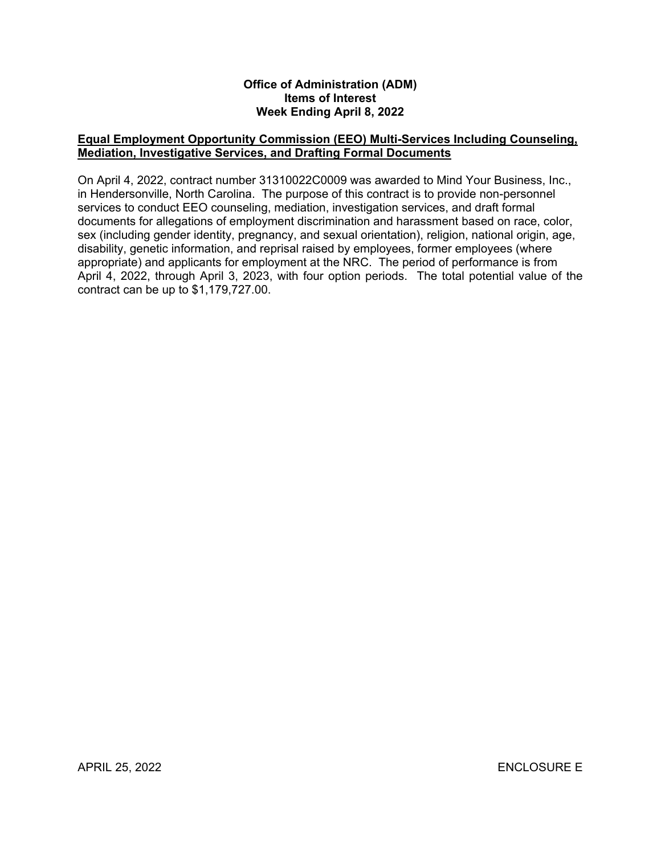#### **Office of Administration (ADM) Items of Interest Week Ending April 8, 2022**

### **Equal Employment Opportunity Commission (EEO) Multi-Services Including Counseling, Mediation, Investigative Services, and Drafting Formal Documents**

On April 4, 2022, contract number 31310022C0009 was awarded to Mind Your Business, Inc., in Hendersonville, North Carolina. The purpose of this contract is to provide non-personnel services to conduct EEO counseling, mediation, investigation services, and draft formal documents for allegations of employment discrimination and harassment based on race, color, sex (including gender identity, pregnancy, and sexual orientation), religion, national origin, age, disability, genetic information, and reprisal raised by employees, former employees (where appropriate) and applicants for employment at the NRC. The period of performance is from April 4, 2022, through April 3, 2023, with four option periods. The total potential value of the contract can be up to \$1,179,727.00.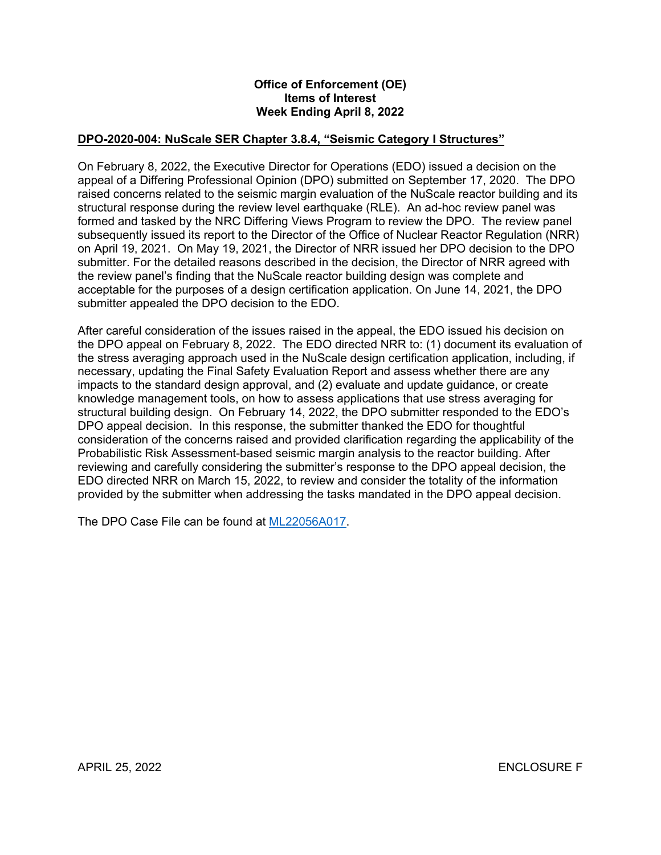#### **Office of Enforcement (OE) Items of Interest Week Ending April 8, 2022**

## **DPO-2020-004: NuScale SER Chapter 3.8.4, "Seismic Category I Structures"**

On February 8, 2022, the Executive Director for Operations (EDO) issued a decision on the appeal of a Differing Professional Opinion (DPO) submitted on September 17, 2020. The DPO raised concerns related to the seismic margin evaluation of the NuScale reactor building and its structural response during the review level earthquake (RLE). An ad-hoc review panel was formed and tasked by the NRC Differing Views Program to review the DPO. The review panel subsequently issued its report to the Director of the Office of Nuclear Reactor Regulation (NRR) on April 19, 2021. On May 19, 2021, the Director of NRR issued her DPO decision to the DPO submitter. For the detailed reasons described in the decision, the Director of NRR agreed with the review panel's finding that the NuScale reactor building design was complete and acceptable for the purposes of a design certification application. On June 14, 2021, the DPO submitter appealed the DPO decision to the EDO.

After careful consideration of the issues raised in the appeal, the EDO issued his decision on the DPO appeal on February 8, 2022. The EDO directed NRR to: (1) document its evaluation of the stress averaging approach used in the NuScale design certification application, including, if necessary, updating the Final Safety Evaluation Report and assess whether there are any impacts to the standard design approval, and (2) evaluate and update guidance, or create knowledge management tools, on how to assess applications that use stress averaging for structural building design. On February 14, 2022, the DPO submitter responded to the EDO's DPO appeal decision. In this response, the submitter thanked the EDO for thoughtful consideration of the concerns raised and provided clarification regarding the applicability of the Probabilistic Risk Assessment-based seismic margin analysis to the reactor building. After reviewing and carefully considering the submitter's response to the DPO appeal decision, the EDO directed NRR on March 15, 2022, to review and consider the totality of the information provided by the submitter when addressing the tasks mandated in the DPO appeal decision.

The DPO Case File can be found at [ML22056A017.](https://adamsxt.nrc.gov/navigator/AdamsXT/content/downloadContent.faces?objectStoreName=MainLibrary&ForceBrowserDownloadMgrPrompt=false&vsId=%7bA305AA67-727A-C776-856B-7F30CB500000%7d)